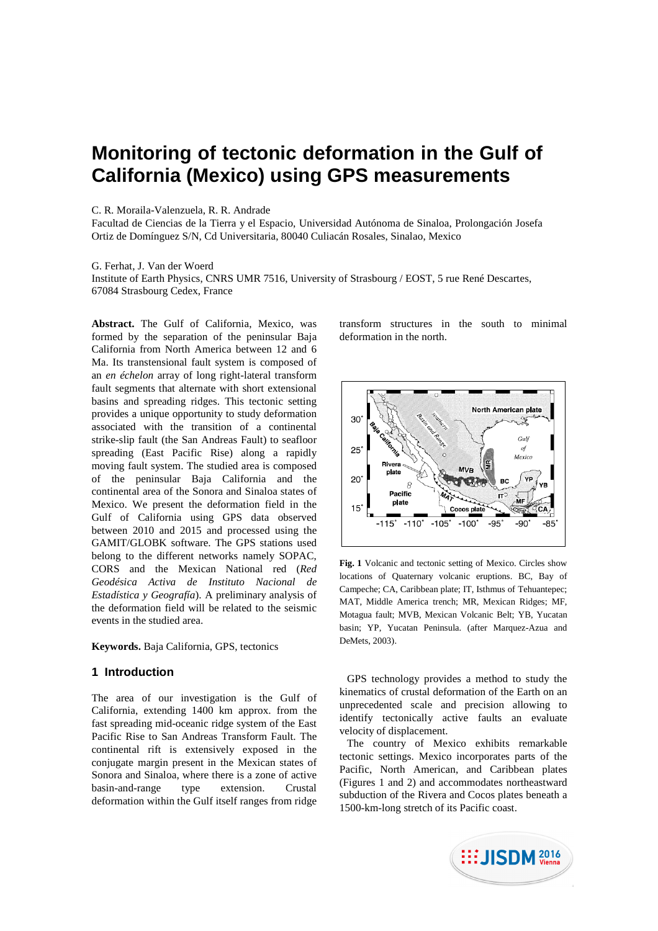# **Monitoring of tectonic deformation in the Gulf of California (Mexico) using GPS measurements**

#### C. R. Moraila-Valenzuela, R. R. Andrade

Facultad de Ciencias de la Tierra y el Espacio, Universidad Autónoma de Sinaloa, Prolongación Josefa Ortiz de Domínguez S/N, Cd Universitaria, 80040 Culiacán Rosales, Sinalao, Mexico

#### G. Ferhat, J. Van der Woerd

Institute of Earth Physics, CNRS UMR 7516, University of Strasbourg / EOST, 5 rue René Descartes, 67084 Strasbourg Cedex, France

**Abstract.** The Gulf of California, Mexico, was formed by the separation of the peninsular Baja California from North America between 12 and 6 Ma. Its transtensional fault system is composed of an *en échelon* array of long right-lateral transform fault segments that alternate with short extensional basins and spreading ridges. This tectonic setting provides a unique opportunity to study deformation associated with the transition of a continental strike-slip fault (the San Andreas Fault) to seafloor spreading (East Pacific Rise) along a rapidly moving fault system. The studied area is composed of the peninsular Baja California and the continental area of the Sonora and Sinaloa states of Mexico. We present the deformation field in the Gulf of California using GPS data observed between 2010 and 2015 and processed using the GAMIT/GLOBK software. The GPS stations used belong to the different networks namely SOPAC, CORS and the Mexican National red (*Red Geodésica Activa de Instituto Nacional de Estadística y Geografía*). A preliminary analysis of the deformation field will be related to the seismic events in the studied area.

**Keywords.** Baja California, GPS, tectonics

# **1 Introduction**

The area of our investigation is the Gulf of California, extending 1400 km approx. from the fast spreading mid-oceanic ridge system of the East Pacific Rise to San Andreas Transform Fault. The continental rift is extensively exposed in the conjugate margin present in the Mexican states of Sonora and Sinaloa, where there is a zone of active basin-and-range type extension. Crustal deformation within the Gulf itself ranges from ridge

transform structures in the south to minimal deformation in the north.



**Fig. 1** Volcanic and tectonic setting of Mexico. Circles show locations of Quaternary volcanic eruptions. BC, Bay of Campeche; CA, Caribbean plate; IT, Isthmus of Tehuantepec; MAT, Middle America trench; MR, Mexican Ridges; MF, Motagua fault; MVB, Mexican Volcanic Belt; YB, Yucatan basin; YP, Yucatan Peninsula. (after Marquez-Azua and DeMets, 2003).

GPS technology provides a method to study the kinematics of crustal deformation of the Earth on an unprecedented scale and precision allowing to identify tectonically active faults an evaluate velocity of displacement.

The country of Mexico exhibits remarkable tectonic settings. Mexico incorporates parts of the Pacific, North American, and Caribbean plates (Figures 1 and 2) and accommodates northeastward subduction of the Rivera and Cocos plates beneath a 1500-km-long stretch of its Pacific coast.

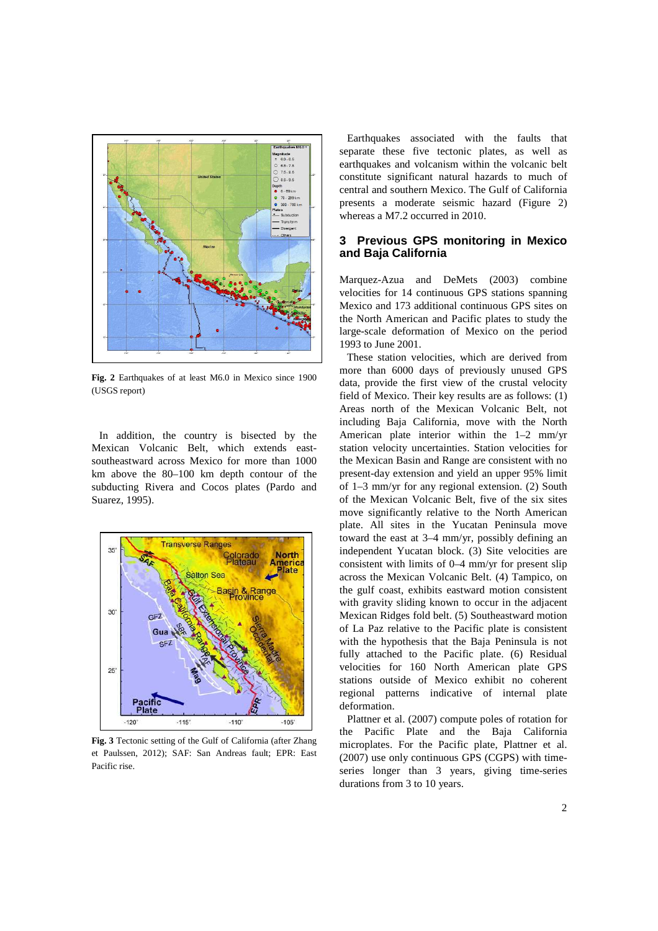

**Fig. 2** Earthquakes of at least M6.0 in Mexico since 1900 (USGS report)

In addition, the country is bisected by the Mexican Volcanic Belt, which extends eastsoutheastward across Mexico for more than 1000 km above the 80–100 km depth contour of the subducting Rivera and Cocos plates (Pardo and Suarez, 1995).



**Fig. 3** Tectonic setting of the Gulf of California (after Zhang et Paulssen, 2012); SAF: San Andreas fault; EPR: East Pacific rise.

Earthquakes associated with the faults that separate these five tectonic plates, as well as earthquakes and volcanism within the volcanic belt constitute significant natural hazards to much of central and southern Mexico. The Gulf of California presents a moderate seismic hazard (Figure 2) whereas a M7.2 occurred in 2010.

# **3 Previous GPS monitoring in Mexico and Baja California**

Marquez-Azua and DeMets (2003) combine velocities for 14 continuous GPS stations spanning Mexico and 173 additional continuous GPS sites on the North American and Pacific plates to study the large-scale deformation of Mexico on the period 1993 to June 2001.

These station velocities, which are derived from more than 6000 days of previously unused GPS data, provide the first view of the crustal velocity field of Mexico. Their key results are as follows: (1) Areas north of the Mexican Volcanic Belt, not including Baja California, move with the North American plate interior within the 1–2 mm/yr station velocity uncertainties. Station velocities for the Mexican Basin and Range are consistent with no present-day extension and yield an upper 95% limit of 1–3 mm/yr for any regional extension. (2) South of the Mexican Volcanic Belt, five of the six sites move significantly relative to the North American plate. All sites in the Yucatan Peninsula move toward the east at 3–4 mm/yr, possibly defining an independent Yucatan block. (3) Site velocities are consistent with limits of 0–4 mm/yr for present slip across the Mexican Volcanic Belt. (4) Tampico, on the gulf coast, exhibits eastward motion consistent with gravity sliding known to occur in the adjacent Mexican Ridges fold belt. (5) Southeastward motion of La Paz relative to the Pacific plate is consistent with the hypothesis that the Baja Peninsula is not fully attached to the Pacific plate. (6) Residual velocities for 160 North American plate GPS stations outside of Mexico exhibit no coherent regional patterns indicative of internal plate deformation.

Plattner et al. (2007) compute poles of rotation for the Pacific Plate and the Baja California microplates. For the Pacific plate, Plattner et al. (2007) use only continuous GPS (CGPS) with timeseries longer than 3 years, giving time-series durations from 3 to 10 years.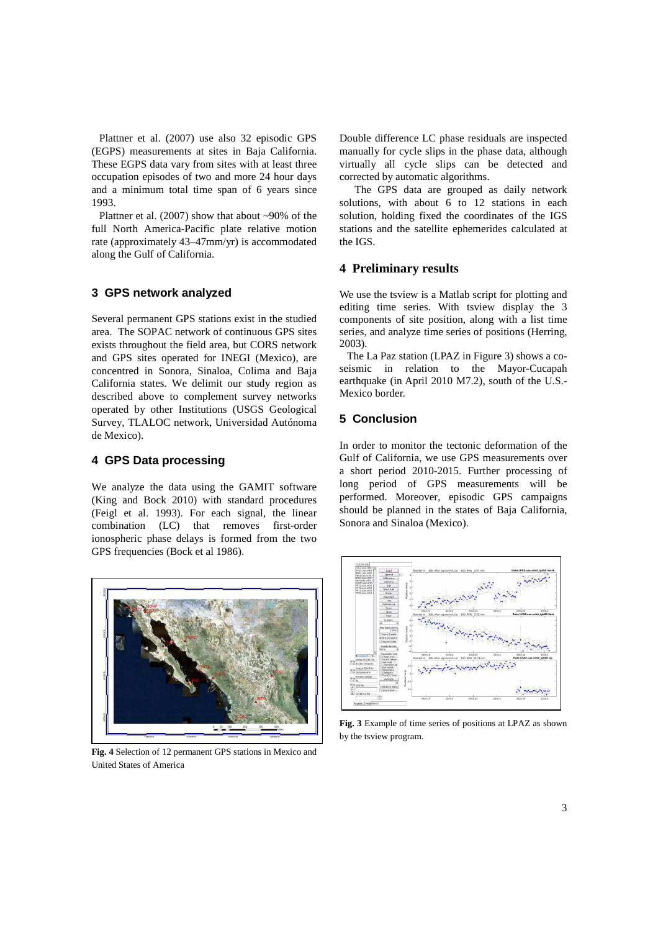Plattner et al. (2007) use also 32 episodic GPS (EGPS) measurements at sites in Baja California. These EGPS data vary from sites with at least three occupation episodes of two and more 24 hour days and a minimum total time span of 6 years since 1993.

Plattner et al. (2007) show that about ~90% of the full North America-Pacific plate relative motion rate (approximately 43–47mm/yr) is accommodated along the Gulf of California.

## **3 GPS network analyzed**

Several permanent GPS stations exist in the studied area. The SOPAC network of continuous GPS sites exists throughout the field area, but CORS network and GPS sites operated for INEGI (Mexico), are concentred in Sonora, Sinaloa, Colima and Baja California states. We delimit our study region as described above to complement survey networks operated by other Institutions (USGS Geological Survey, TLALOC network, Universidad Autónoma de Mexico).

### **4 GPS Data processing**

We analyze the data using the GAMIT software (King and Bock 2010) with standard procedures (Feigl et al. 1993). For each signal, the linear combination (LC) that removes first-order ionospheric phase delays is formed from the two GPS frequencies (Bock et al 1986).



**Fig. 4** Selection of 12 permanent GPS stations in Mexico and United States of America

Double difference LC phase residuals are inspected manually for cycle slips in the phase data, although virtually all cycle slips can be detected and corrected by automatic algorithms.

The GPS data are grouped as daily network solutions, with about 6 to 12 stations in each solution, holding fixed the coordinates of the IGS stations and the satellite ephemerides calculated at the IGS.

### **4 Preliminary results**

We use the tsview is a Matlab script for plotting and editing time series. With tsview display the 3 components of site position, along with a list time series, and analyze time series of positions (Herring, 2003).

The La Paz station (LPAZ in Figure 3) shows a coseismic in relation to the Mayor-Cucapah earthquake (in April 2010 M7.2), south of the U.S.- Mexico border.

# **5 Conclusion**

In order to monitor the tectonic deformation of the Gulf of California, we use GPS measurements over a short period 2010-2015. Further processing of long period of GPS measurements will be performed. Moreover, episodic GPS campaigns should be planned in the states of Baja California, Sonora and Sinaloa (Mexico).



**Fig. 3** Example of time series of positions at LPAZ as shown by the tsview program.